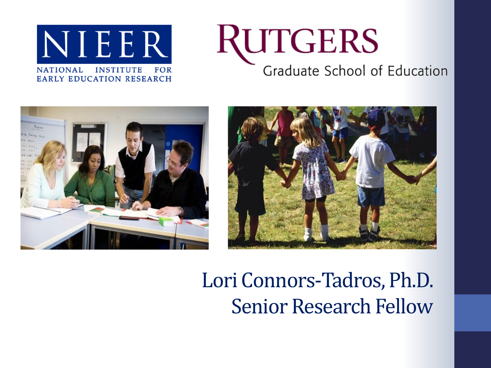

### RUTGERS Graduate School of Education





### Lori Connors-Tadros, Ph.D. Senior Research Fellow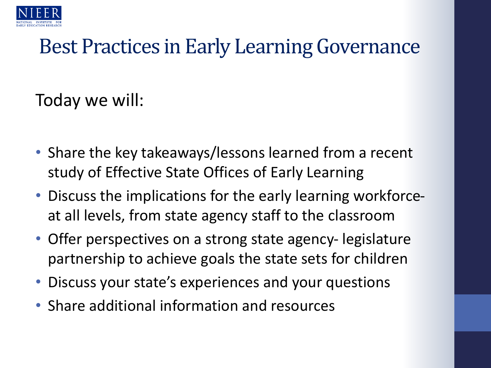

### Best Practices in Early Learning Governance

Today we will:

- Share the key takeaways/lessons learned from a recent study of Effective State Offices of Early Learning
- Discuss the implications for the early learning workforceat all levels, from state agency staff to the classroom
- Offer perspectives on a strong state agency- legislature partnership to achieve goals the state sets for children
- Discuss your state's experiences and your questions
- Share additional information and resources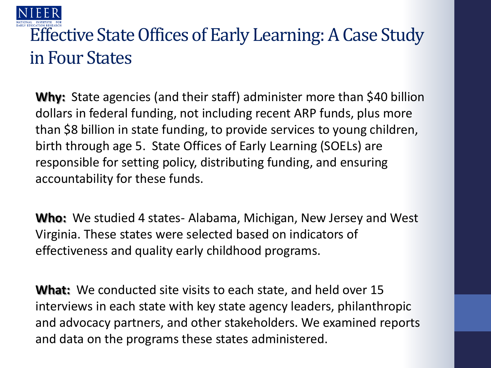

#### Effective State Offices of Early Learning: A Case Study in Four States

**Why:** State agencies (and their staff) administer more than \$40 billion dollars in federal funding, not including recent ARP funds, plus more than \$8 billion in state funding, to provide services to young children, birth through age 5. State Offices of Early Learning (SOELs) are responsible for setting policy, distributing funding, and ensuring accountability for these funds.

**Who:** We studied 4 states- Alabama, Michigan, New Jersey and West Virginia. These states were selected based on indicators of effectiveness and quality early childhood programs.

**What:** We conducted site visits to each state, and held over 15 interviews in each state with key state agency leaders, philanthropic and advocacy partners, and other stakeholders. We examined reports and data on the programs these states administered.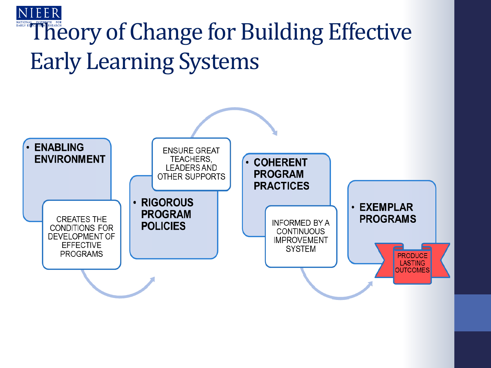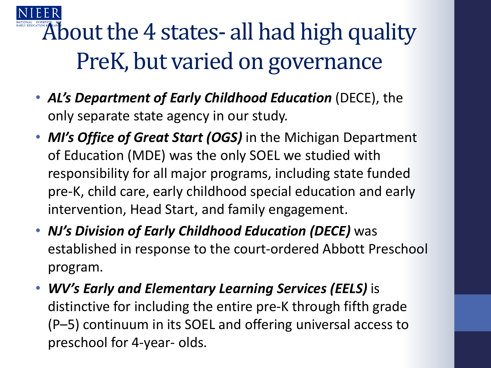About the 4 states- all had high quality PreK, but varied on governance

- *AL's Department of Early Childhood Education* (DECE), the only separate state agency in our study.
- *MI's Office of Great Start (OGS)* in the Michigan Department of Education (MDE) was the only SOEL we studied with responsibility for all major programs, including state funded pre-K, child care, early childhood special education and early intervention, Head Start, and family engagement.
- *NJ's Division of Early Childhood Education (DECE)* was established in response to the court-ordered Abbott Preschool program.
- *WV's Early and Elementary Learning Services (EELS)* is distinctive for including the entire pre-K through fifth grade (P–5) continuum in its SOEL and offering universal access to preschool for 4-year- olds.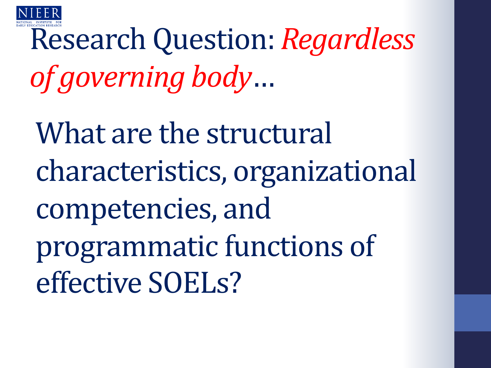

# Research Question: *Regardless of governing body*…

What are the structural characteristics, organizational competencies, and programmatic functions of effective SOELs?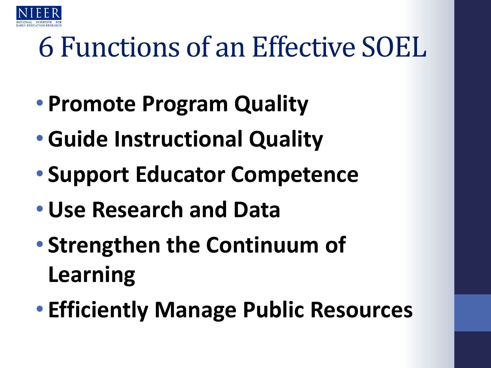

### 6 Functions of an Effective SOEL

- **Promote Program Quality**
- •**Guide Instructional Quality**
- **Support Educator Competence**
- •**Use Research and Data**
- **Strengthen the Continuum of Learning**
- **Efficiently Manage Public Resources**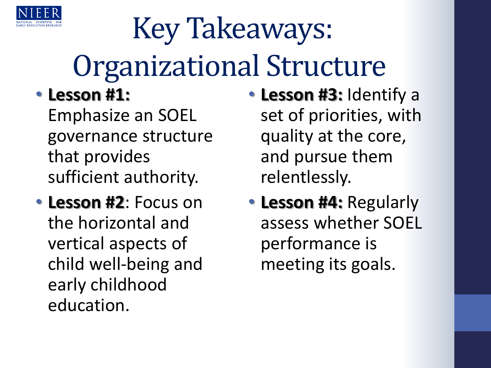

# Key Takeaways: Organizational Structure

#### • **Lesson #1:**

Emphasize an SOEL governance structure that provides sufficient authority.

• **Lesson #2**: Focus on the horizontal and vertical aspects of child well-being and early childhood education.

- **Lesson #3:** Identify a set of priorities, with quality at the core, and pursue them relentlessly.
- **Lesson #4:** Regularly assess whether SOEL performance is meeting its goals.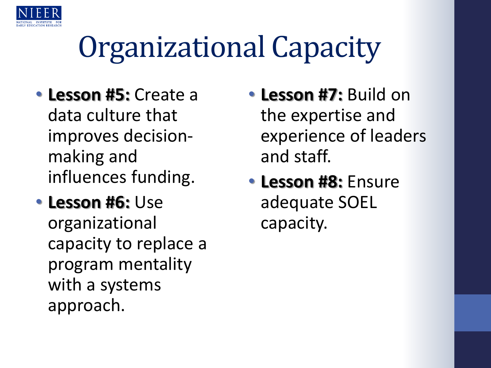

## Organizational Capacity

- **Lesson #5:** Create a data culture that improves decisionmaking and influences funding.
- **Lesson #6:** Use organizational capacity to replace a program mentality with a systems approach.
- **Lesson #7:** Build on the expertise and experience of leaders and staff.
- **Lesson #8:** Ensure adequate SOEL capacity.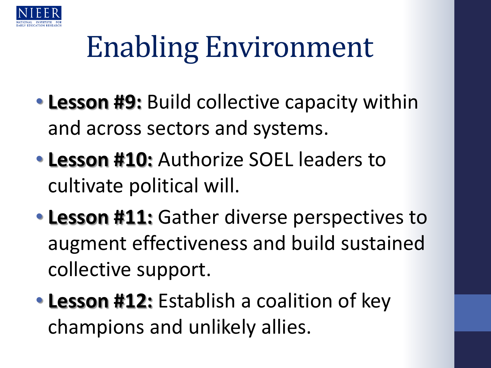

# Enabling Environment

- **Lesson #9:** Build collective capacity within and across sectors and systems.
- **Lesson #10:** Authorize SOEL leaders to cultivate political will.
- **Lesson #11:** Gather diverse perspectives to augment effectiveness and build sustained collective support.
- **Lesson #12:** Establish a coalition of key champions and unlikely allies.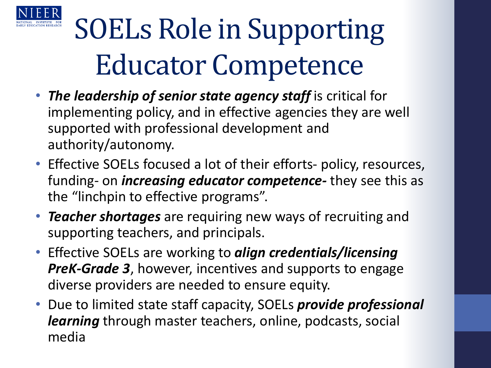

## SOELs Role in Supporting Educator Competence

- *The leadership of senior state agency staff* is critical for implementing policy, and in effective agencies they are well supported with professional development and authority/autonomy.
- Effective SOELs focused a lot of their efforts- policy, resources, funding- on *increasing educator competence-* they see this as the "linchpin to effective programs".
- *Teacher shortages* are requiring new ways of recruiting and supporting teachers, and principals.
- Effective SOELs are working to *align credentials/licensing PreK-Grade 3*, however, incentives and supports to engage diverse providers are needed to ensure equity.
- Due to limited state staff capacity, SOELs *provide professional learning* through master teachers, online, podcasts, social media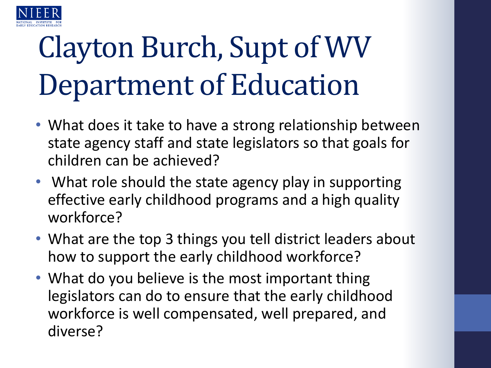

# Clayton Burch, Supt of WV Department of Education

- What does it take to have a strong relationship between state agency staff and state legislators so that goals for children can be achieved?
- What role should the state agency play in supporting effective early childhood programs and a high quality workforce?
- What are the top 3 things you tell district leaders about how to support the early childhood workforce?
- What do you believe is the most important thing legislators can do to ensure that the early childhood workforce is well compensated, well prepared, and diverse?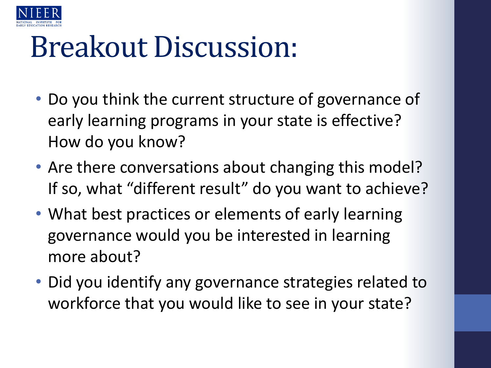

### Breakout Discussion:

- Do you think the current structure of governance of early learning programs in your state is effective? How do you know?
- Are there conversations about changing this model? If so, what "different result" do you want to achieve?
- What best practices or elements of early learning governance would you be interested in learning more about?
- Did you identify any governance strategies related to workforce that you would like to see in your state?